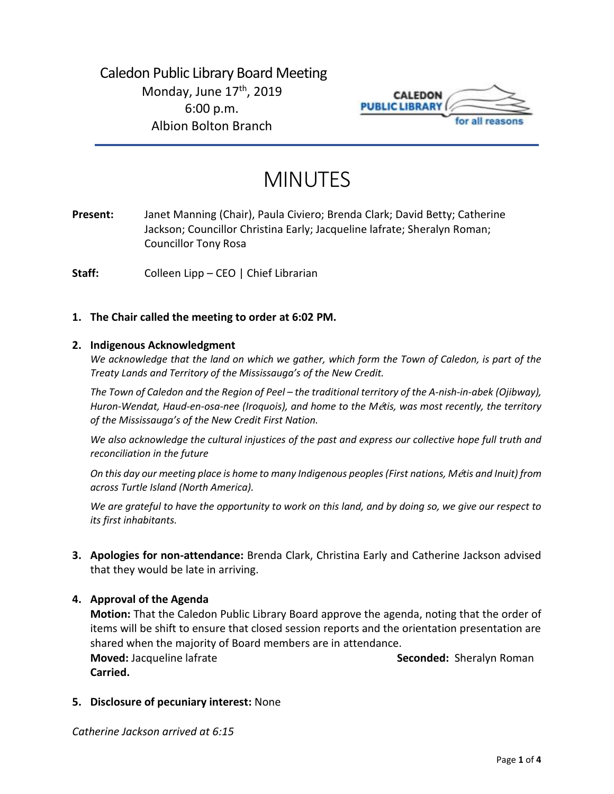

# MINUTES

**Present:** Janet Manning (Chair), Paula Civiero; Brenda Clark; David Betty; Catherine Jackson; Councillor Christina Early; Jacqueline lafrate; Sheralyn Roman; Councillor Tony Rosa

**Staff:** Colleen Lipp – CEO | Chief Librarian

# **1. The Chair called the meeting to order at 6:02 PM.**

#### **2. Indigenous Acknowledgment**

*We acknowledge that the land on which we gather, which form the Town of Caledon, is part of the Treaty Lands and Territory of the Mississauga's of the New Credit.* 

*The Town of Caledon and the Region of Peel – the traditional territory of the A-nish-in-abek (Ojibway), Huron-Wendat, Haud-en-osa-nee (Iroquois), and home to the M*é*tis, was most recently, the territory of the Mississauga's of the New Credit First Nation.* 

*We also acknowledge the cultural injustices of the past and express our collective hope full truth and reconciliation in the future*

*On this day our meeting place is home to many Indigenous peoples (First nations, M*é*tis and Inuit) from across Turtle Island (North America).* 

*We are grateful to have the opportunity to work on this land, and by doing so, we give our respect to its first inhabitants.* 

**3. Apologies for non-attendance:** Brenda Clark, Christina Early and Catherine Jackson advised that they would be late in arriving.

# **4. Approval of the Agenda**

**Motion:** That the Caledon Public Library Board approve the agenda, noting that the order of items will be shift to ensure that closed session reports and the orientation presentation are shared when the majority of Board members are in attendance. **Moved:** Jacqueline lafrate **Seconded:** Sheralyn Roman **Carried.**

**5. Disclosure of pecuniary interest:** None

*Catherine Jackson arrived at 6:15*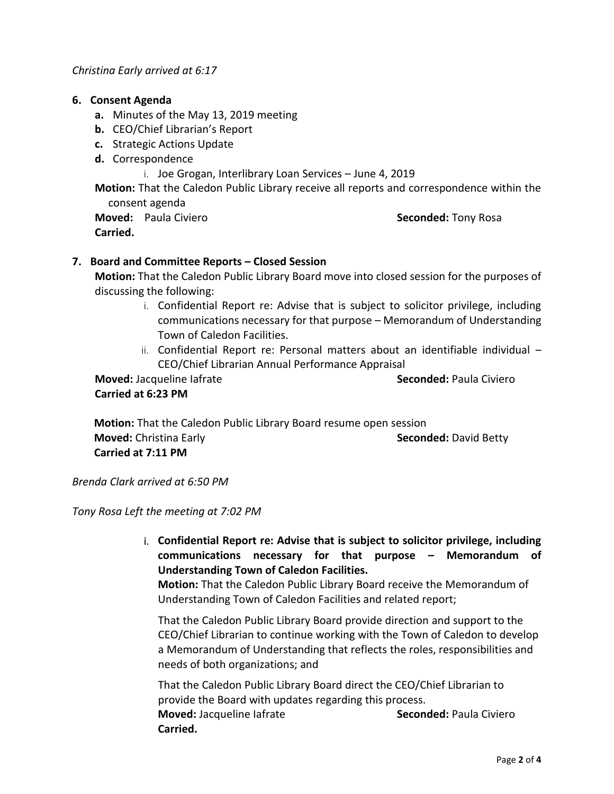## **6. Consent Agenda**

- **a.** Minutes of the May 13, 2019 meeting
- **b.** CEO/Chief Librarian's Report
- **c.** Strategic Actions Update
- **d.** Correspondence
	- i. Joe Grogan, Interlibrary Loan Services June 4, 2019

**Motion:** That the Caledon Public Library receive all reports and correspondence within the consent agenda

**Moved:** Paula Civiero **Seconded:** Tony Rosa **Carried.** 

# **7. Board and Committee Reports – Closed Session**

**Motion:** That the Caledon Public Library Board move into closed session for the purposes of discussing the following:

- i. Confidential Report re: Advise that is subject to solicitor privilege, including communications necessary for that purpose – Memorandum of Understanding Town of Caledon Facilities.
- ii. Confidential Report re: Personal matters about an identifiable individual CEO/Chief Librarian Annual Performance Appraisal

**Moved:** Jacqueline Iafrate **Seconded:** Paula Civiero **Carried at 6:23 PM**

 **Motion:** That the Caledon Public Library Board resume open session **Moved:** Christina Early **Seconded:** David Betty **Seconded:** David Betty  **Carried at 7:11 PM**

*Brenda Clark arrived at 6:50 PM*

*Tony Rosa Left the meeting at 7:02 PM*

i. **Confidential Report re: Advise that is subject to solicitor privilege, including communications necessary for that purpose – Memorandum of Understanding Town of Caledon Facilities.** 

**Motion:** That the Caledon Public Library Board receive the Memorandum of Understanding Town of Caledon Facilities and related report;

That the Caledon Public Library Board provide direction and support to the CEO/Chief Librarian to continue working with the Town of Caledon to develop a Memorandum of Understanding that reflects the roles, responsibilities and needs of both organizations; and

That the Caledon Public Library Board direct the CEO/Chief Librarian to provide the Board with updates regarding this process. **Moved:** Jacqueline Iafrate **Seconded:** Paula Civiero **Carried.**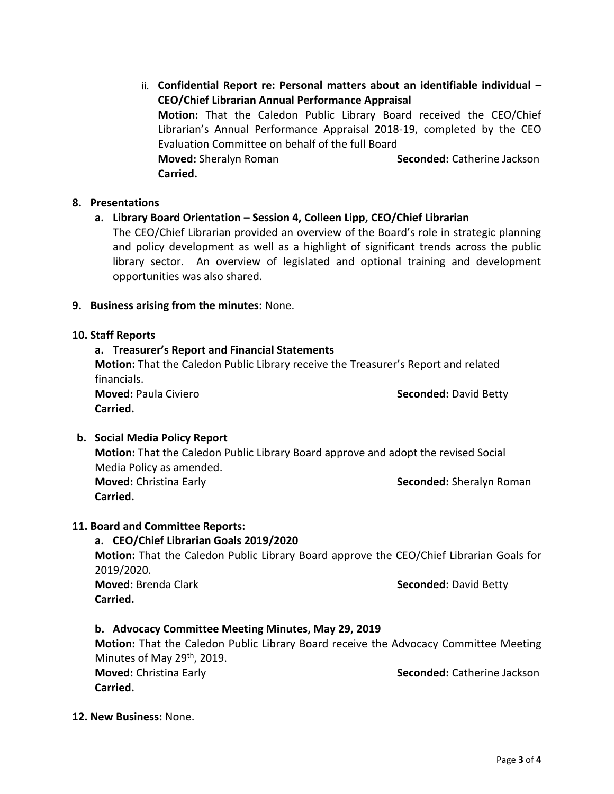ii. **Confidential Report re: Personal matters about an identifiable individual – CEO/Chief Librarian Annual Performance Appraisal Motion:** That the Caledon Public Library Board received the CEO/Chief Librarian's Annual Performance Appraisal 2018-19, completed by the CEO Evaluation Committee on behalf of the full Board **Moved:** Sheralyn Roman **Seconded:** Catherine Jackson  **Carried.**

#### **8. Presentations**

# **a. Library Board Orientation – Session 4, Colleen Lipp, CEO/Chief Librarian**

The CEO/Chief Librarian provided an overview of the Board's role in strategic planning and policy development as well as a highlight of significant trends across the public library sector. An overview of legislated and optional training and development opportunities was also shared.

#### **9. Business arising from the minutes:** None.

#### **10. Staff Reports**

# **a. Treasurer's Report and Financial Statements**

**Motion:** That the Caledon Public Library receive the Treasurer's Report and related financials.

**Moved:** Paula Civiero **Seconded:** David Betty **Carried.**

# **b. Social Media Policy Report**

**Motion:** That the Caledon Public Library Board approve and adopt the revised Social Media Policy as amended. **Moved:** Christina Early **Seconded:** Sheralyn Roman

**Carried.** 

# **11. Board and Committee Reports:**

# **a. CEO/Chief Librarian Goals 2019/2020**

**Motion:** That the Caledon Public Library Board approve the CEO/Chief Librarian Goals for 2019/2020.

**Moved:** Brenda Clark **Seconded:** David Betty **Carried.**

# **b. Advocacy Committee Meeting Minutes, May 29, 2019**

**Motion:** That the Caledon Public Library Board receive the Advocacy Committee Meeting Minutes of May 29<sup>th</sup>, 2019. **Moved:** Christina Early **Seconded:** Catherine Jackson **Carried.**

**12. New Business:** None.